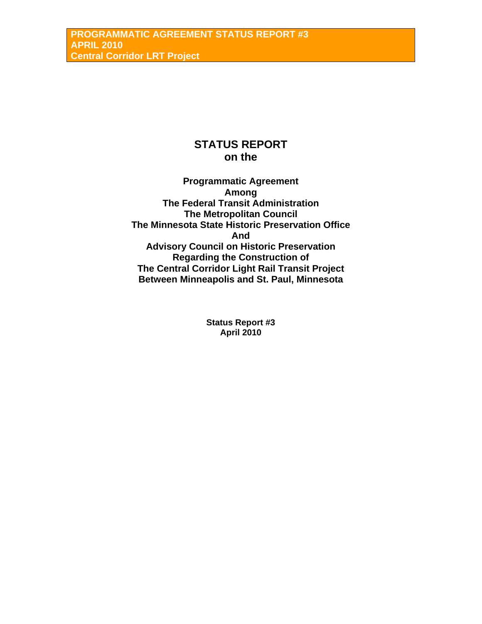# **STATUS REPORT on the**

**Programmatic Agreement Among The Federal Transit Administration The Metropolitan Council The Minnesota State Historic Preservation Office And Advisory Council on Historic Preservation Regarding the Construction of The Central Corridor Light Rail Transit Project Between Minneapolis and St. Paul, Minnesota** 

> **Status Report #3 April 2010**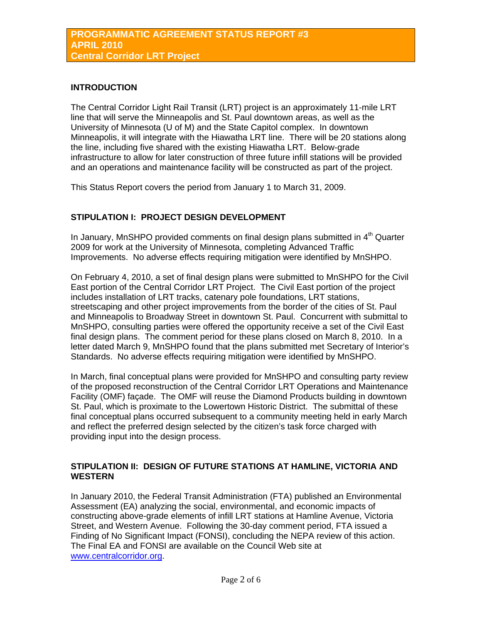## **INTRODUCTION**

The Central Corridor Light Rail Transit (LRT) project is an approximately 11-mile LRT line that will serve the Minneapolis and St. Paul downtown areas, as well as the University of Minnesota (U of M) and the State Capitol complex. In downtown Minneapolis, it will integrate with the Hiawatha LRT line. There will be 20 stations along the line, including five shared with the existing Hiawatha LRT. Below-grade infrastructure to allow for later construction of three future infill stations will be provided and an operations and maintenance facility will be constructed as part of the project.

This Status Report covers the period from January 1 to March 31, 2009.

# **STIPULATION I: PROJECT DESIGN DEVELOPMENT**

In January, MnSHPO provided comments on final design plans submitted in  $4<sup>th</sup>$  Quarter 2009 for work at the University of Minnesota, completing Advanced Traffic Improvements. No adverse effects requiring mitigation were identified by MnSHPO.

On February 4, 2010, a set of final design plans were submitted to MnSHPO for the Civil East portion of the Central Corridor LRT Project. The Civil East portion of the project includes installation of LRT tracks, catenary pole foundations, LRT stations, streetscaping and other project improvements from the border of the cities of St. Paul and Minneapolis to Broadway Street in downtown St. Paul. Concurrent with submittal to MnSHPO, consulting parties were offered the opportunity receive a set of the Civil East final design plans. The comment period for these plans closed on March 8, 2010. In a letter dated March 9, MnSHPO found that the plans submitted met Secretary of Interior's Standards. No adverse effects requiring mitigation were identified by MnSHPO.

In March, final conceptual plans were provided for MnSHPO and consulting party review of the proposed reconstruction of the Central Corridor LRT Operations and Maintenance Facility (OMF) façade. The OMF will reuse the Diamond Products building in downtown St. Paul, which is proximate to the Lowertown Historic District. The submittal of these final conceptual plans occurred subsequent to a community meeting held in early March and reflect the preferred design selected by the citizen's task force charged with providing input into the design process.

## **STIPULATION II: DESIGN OF FUTURE STATIONS AT HAMLINE, VICTORIA AND WESTERN**

In January 2010, the Federal Transit Administration (FTA) published an Environmental Assessment (EA) analyzing the social, environmental, and economic impacts of constructing above-grade elements of infill LRT stations at Hamline Avenue, Victoria Street, and Western Avenue. Following the 30-day comment period, FTA issued a Finding of No Significant Impact (FONSI), concluding the NEPA review of this action. The Final EA and FONSI are available on the Council Web site at [www.centralcorridor.org](http://www.centralcorridor.org/).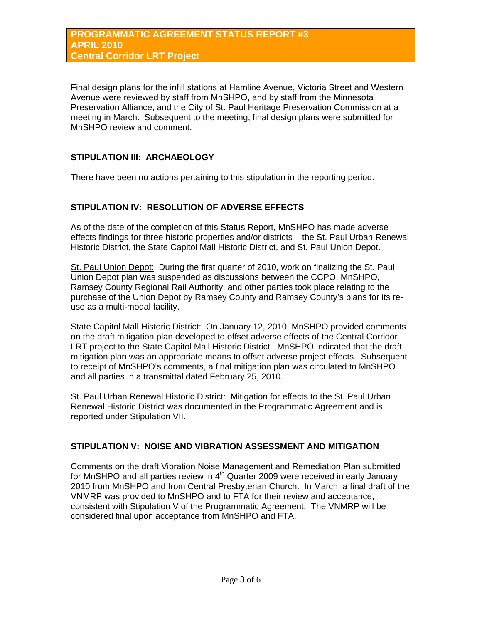Final design plans for the infill stations at Hamline Avenue, Victoria Street and Western Avenue were reviewed by staff from MnSHPO, and by staff from the Minnesota Preservation Alliance, and the City of St. Paul Heritage Preservation Commission at a meeting in March. Subsequent to the meeting, final design plans were submitted for MnSHPO review and comment.

# **STIPULATION III: ARCHAEOLOGY**

There have been no actions pertaining to this stipulation in the reporting period.

## **STIPULATION IV: RESOLUTION OF ADVERSE EFFECTS**

As of the date of the completion of this Status Report, MnSHPO has made adverse effects findings for three historic properties and/or districts – the St. Paul Urban Renewal Historic District, the State Capitol Mall Historic District, and St. Paul Union Depot.

St. Paul Union Depot: During the first quarter of 2010, work on finalizing the St. Paul Union Depot plan was suspended as discussions between the CCPO, MnSHPO, Ramsey County Regional Rail Authority, and other parties took place relating to the purchase of the Union Depot by Ramsey County and Ramsey County's plans for its reuse as a multi-modal facility.

State Capitol Mall Historic District: On January 12, 2010, MnSHPO provided comments on the draft mitigation plan developed to offset adverse effects of the Central Corridor LRT project to the State Capitol Mall Historic District. MnSHPO indicated that the draft mitigation plan was an appropriate means to offset adverse project effects. Subsequent to receipt of MnSHPO's comments, a final mitigation plan was circulated to MnSHPO and all parties in a transmittal dated February 25, 2010.

St. Paul Urban Renewal Historic District: Mitigation for effects to the St. Paul Urban Renewal Historic District was documented in the Programmatic Agreement and is reported under Stipulation VII.

# **STIPULATION V: NOISE AND VIBRATION ASSESSMENT AND MITIGATION**

Comments on the draft Vibration Noise Management and Remediation Plan submitted for MnSHPO and all parties review in  $4<sup>th</sup>$  Quarter 2009 were received in early January 2010 from MnSHPO and from Central Presbyterian Church. In March, a final draft of the VNMRP was provided to MnSHPO and to FTA for their review and acceptance, consistent with Stipulation V of the Programmatic Agreement. The VNMRP will be considered final upon acceptance from MnSHPO and FTA.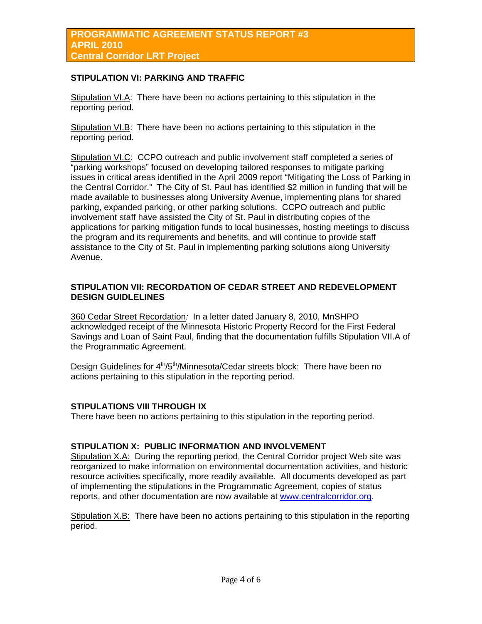## **STIPULATION VI: PARKING AND TRAFFIC**

Stipulation VI.A: There have been no actions pertaining to this stipulation in the reporting period.

Stipulation VI.B: There have been no actions pertaining to this stipulation in the reporting period.

Stipulation VI.C: CCPO outreach and public involvement staff completed a series of "parking workshops" focused on developing tailored responses to mitigate parking issues in critical areas identified in the April 2009 report "Mitigating the Loss of Parking in the Central Corridor." The City of St. Paul has identified \$2 million in funding that will be made available to businesses along University Avenue, implementing plans for shared parking, expanded parking, or other parking solutions. CCPO outreach and public involvement staff have assisted the City of St. Paul in distributing copies of the applications for parking mitigation funds to local businesses, hosting meetings to discuss the program and its requirements and benefits, and will continue to provide staff assistance to the City of St. Paul in implementing parking solutions along University Avenue.

#### **STIPULATION VII: RECORDATION OF CEDAR STREET AND REDEVELOPMENT DESIGN GUIDLELINES**

360 Cedar Street Recordation*:* In a letter dated January 8, 2010, MnSHPO acknowledged receipt of the Minnesota Historic Property Record for the First Federal Savings and Loan of Saint Paul, finding that the documentation fulfills Stipulation VII.A of the Programmatic Agreement.

Design Guidelines for 4<sup>th</sup>/5<sup>th</sup>/Minnesota/Cedar streets block: There have been no actions pertaining to this stipulation in the reporting period.

#### **STIPULATIONS VIII THROUGH IX**

There have been no actions pertaining to this stipulation in the reporting period.

## **STIPULATION X: PUBLIC INFORMATION AND INVOLVEMENT**

Stipulation X.A: During the reporting period, the Central Corridor project Web site was reorganized to make information on environmental documentation activities, and historic resource activities specifically, more readily available. All documents developed as part of implementing the stipulations in the Programmatic Agreement, copies of status reports, and other documentation are now available at [www.centralcorridor.org](http://www.centralcorridor.org/).

Stipulation X.B: There have been no actions pertaining to this stipulation in the reporting period.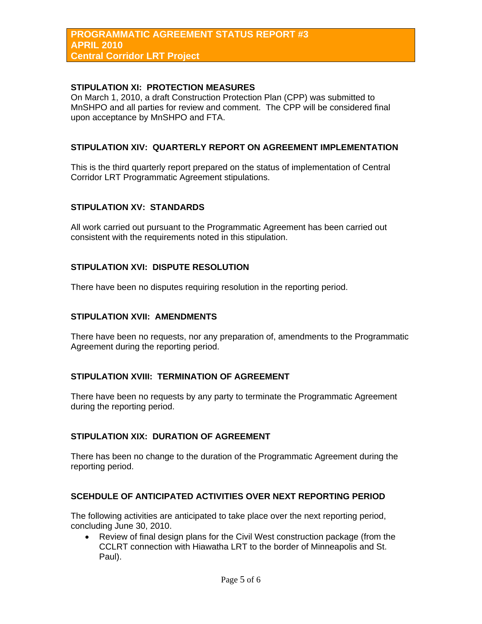#### **PROGRAMMATIC AGREEMENT STATUS REPORT #3 APRIL 2010 Central Corridor LRT Project**

#### **STIPULATION XI: PROTECTION MEASURES**

On March 1, 2010, a draft Construction Protection Plan (CPP) was submitted to MnSHPO and all parties for review and comment. The CPP will be considered final upon acceptance by MnSHPO and FTA.

#### **STIPULATION XIV: QUARTERLY REPORT ON AGREEMENT IMPLEMENTATION**

This is the third quarterly report prepared on the status of implementation of Central Corridor LRT Programmatic Agreement stipulations.

#### **STIPULATION XV: STANDARDS**

All work carried out pursuant to the Programmatic Agreement has been carried out consistent with the requirements noted in this stipulation.

#### **STIPULATION XVI: DISPUTE RESOLUTION**

There have been no disputes requiring resolution in the reporting period.

#### **STIPULATION XVII: AMENDMENTS**

There have been no requests, nor any preparation of, amendments to the Programmatic Agreement during the reporting period.

#### **STIPULATION XVIII: TERMINATION OF AGREEMENT**

There have been no requests by any party to terminate the Programmatic Agreement during the reporting period.

#### **STIPULATION XIX: DURATION OF AGREEMENT**

There has been no change to the duration of the Programmatic Agreement during the reporting period.

#### **SCEHDULE OF ANTICIPATED ACTIVITIES OVER NEXT REPORTING PERIOD**

The following activities are anticipated to take place over the next reporting period, concluding June 30, 2010.

• Review of final design plans for the Civil West construction package (from the CCLRT connection with Hiawatha LRT to the border of Minneapolis and St. Paul).